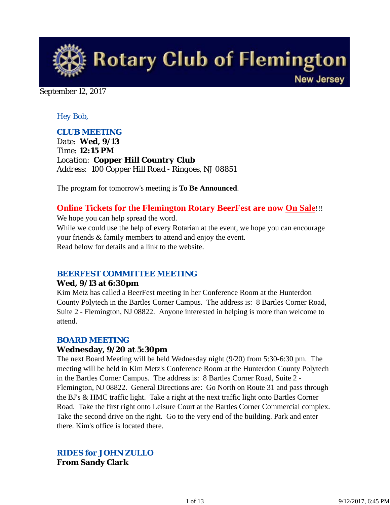

September 12, 2017

#### *Hey Bob,*

#### *CLUB MEETING*

*Date: Wed, 9/13 Time: 12:15 PM Location: Copper Hill Country Club Address: 100 Copper Hill Road - Ringoes, NJ 08851*

The program for tomorrow's meeting is **To Be Announced**.

# **Online Tickets for the Flemington Rotary BeerFest are now On Sale**!!!

We hope you can help spread the word.

While we could use the help of every Rotarian at the event, we hope you can encourage your friends & family members to attend and enjoy the event. Read below for details and a link to the website.

#### *BEERFEST COMMITTEE MEETING*

#### **Wed, 9/13 at 6:30pm**

Kim Metz has called a BeerFest meeting in her Conference Room at the Hunterdon County Polytech in the Bartles Corner Campus. The address is: 8 Bartles Corner Road, Suite 2 - Flemington, NJ 08822. Anyone interested in helping is more than welcome to attend.

#### *BOARD MEETING*

#### **Wednesday, 9/20 at 5:30pm**

The next Board Meeting will be held Wednesday night (9/20) from 5:30-6:30 pm. The meeting will be held in Kim Metz's Conference Room at the Hunterdon County Polytech in the Bartles Corner Campus. The address is: 8 Bartles Corner Road, Suite 2 - Flemington, NJ 08822. General Directions are: Go North on Route 31 and pass through the BJ's & HMC traffic light. Take a right at the next traffic light onto Bartles Corner Road. Take the first right onto Leisure Court at the Bartles Corner Commercial complex. Take the second drive on the right. Go to the very end of the building. Park and enter there. Kim's office is located there.

*RIDES for JOHN ZULLO* **From Sandy Clark**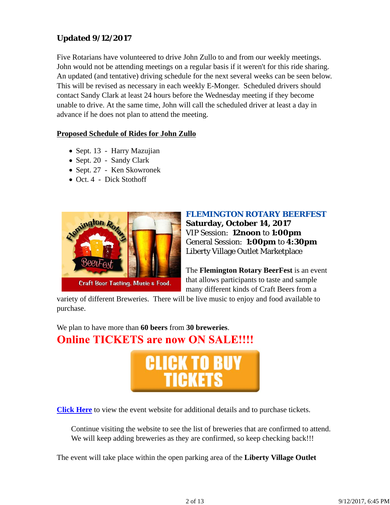## **Updated 9/12/2017**

Five Rotarians have volunteered to drive John Zullo to and from our weekly meetings. John would not be attending meetings on a regular basis if it weren't for this ride sharing. An updated (and tentative) driving schedule for the next several weeks can be seen below. This will be revised as necessary in each weekly E-Monger. Scheduled drivers should contact Sandy Clark at least 24 hours before the Wednesday meeting if they become unable to drive. At the same time, John will call the scheduled driver at least a day in advance if he does not plan to attend the meeting.

#### **Proposed Schedule of Rides for John Zullo**

- Sept. 13 Harry Mazujian
- Sept. 20 Sandy Clark
- Sept. 27 Ken Skowronek
- Oct. 4 Dick Stothoff



# *FLEMINGTON ROTARY BEERFEST*

**Saturday, October 14, 2017** VIP Session: **12noon** to **1:00pm** General Session: **1:00pm** to **4:30pm** Liberty Village Outlet Marketplace

The **Flemington Rotary BeerFest** is an event that allows participants to taste and sample many different kinds of Craft Beers from a

variety of different Breweries. There will be live music to enjoy and food available to purchase.

We plan to have more than **60 beers** from **30 breweries**. **Online TICKETS are now ON SALE!!!!** 



**Click Here** to view the event website for additional details and to purchase tickets.

Continue visiting the website to see the list of breweries that are confirmed to attend. We will keep adding breweries as they are confirmed, so keep checking back!!!

The event will take place within the open parking area of the **Liberty Village Outlet**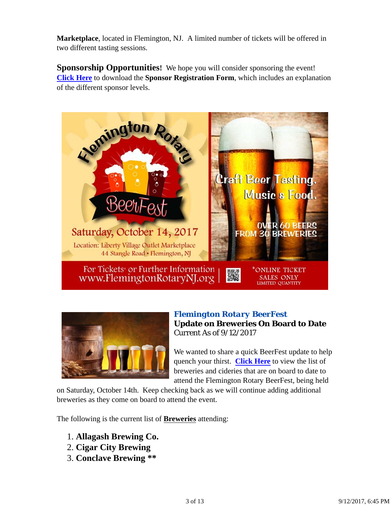**Marketplace**, located in Flemington, NJ. A limited number of tickets will be offered in two different tasting sessions.

**Sponsorship Opportunities!** We hope you will consider sponsoring the event! **Click Here** to download the **Sponsor Registration Form**, which includes an explanation of the different sponsor levels.





## *Flemington Rotary BeerFest* **Update on Breweries On Board to Date** Current As of 9/12/2017

We wanted to share a quick BeerFest update to help quench your thirst. **Click Here** to view the list of breweries and cideries that are on board to date to attend the Flemington Rotary BeerFest, being held

on Saturday, October 14th. Keep checking back as we will continue adding additional breweries as they come on board to attend the event.

The following is the current list of **Breweries** attending:

- 1. **Allagash Brewing Co.**
- 2. **Cigar City Brewing**
- 3. **Conclave Brewing \*\***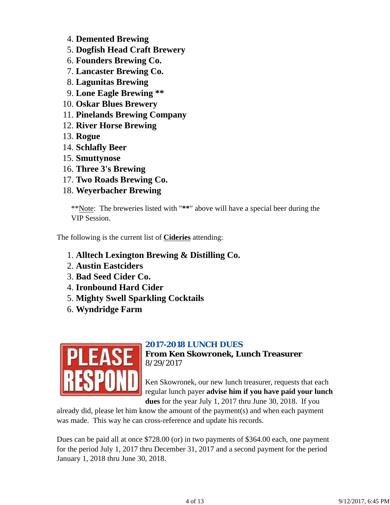- 4. **Demented Brewing**
- 5. **Dogfish Head Craft Brewery**
- 6. **Founders Brewing Co.**
- 7. **Lancaster Brewing Co.**
- 8. **Lagunitas Brewing**
- 9. **Lone Eagle Brewing \*\***
- 10. **Oskar Blues Brewery**
- 11. **Pinelands Brewing Company**
- 12. **River Horse Brewing**
- 13. **Rogue**
- 14. **Schlafly Beer**
- 15. **Smuttynose**
- 16. **Three 3's Brewing**
- 17. **Two Roads Brewing Co.**
- 18. **Weyerbacher Brewing**

\*\*Note: The breweries listed with "**\*\***" above will have a special beer during the VIP Session.

The following is the current list of **Cideries** attending:

- 1. **Alltech Lexington Brewing & Distilling Co.**
- 2. **Austin Eastciders**
- 3. **Bad Seed Cider Co.**
- 4. **Ironbound Hard Cider**
- 5. **Mighty Swell Sparkling Cocktails**
- 6. **Wyndridge Farm**



## *2017-2018 LUNCH DUES*

**From Ken Skowronek, Lunch Treasurer** 8/29/2017

Ken Skowronek, our new lunch treasurer, requests that each regular lunch payer **advise him if you have paid your lunch dues** for the year July 1, 2017 thru June 30, 2018. If you

already did, please let him know the amount of the payment(s) and when each payment was made. This way he can cross-reference and update his records.

Dues can be paid all at once \$728.00 (or) in two payments of \$364.00 each, one payment for the period July 1, 2017 thru December 31, 2017 and a second payment for the period January 1, 2018 thru June 30, 2018.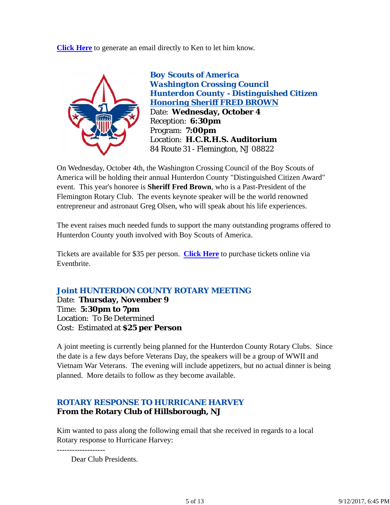**Click Here** to generate an email directly to Ken to let him know.



*Boy Scouts of America Washington Crossing Council Hunterdon County - Distinguished Citizen Honoring Sheriff FRED BROWN* Date: **Wednesday, October 4** Reception: **6:30pm** Program: **7:00pm** Location: **H.C.R.H.S. Auditorium** 84 Route 31 - Flemington, NJ 08822

On Wednesday, October 4th, the Washington Crossing Council of the Boy Scouts of America will be holding their annual Hunterdon County "Distinguished Citizen Award" event. This year's honoree is **Sheriff Fred Brown**, who is a Past-President of the Flemington Rotary Club. The events keynote speaker will be the world renowned entrepreneur and astronaut Greg Olsen, who will speak about his life experiences.

The event raises much needed funds to support the many outstanding programs offered to Hunterdon County youth involved with Boy Scouts of America.

Tickets are available for \$35 per person. **Click Here** to purchase tickets online via Eventbrite.

## *Joint HUNTERDON COUNTY ROTARY MEETING*

Date: **Thursday, November 9** Time: **5:30pm to 7pm** Location: To Be Determined Cost: Estimated at **\$25 per Person**

A joint meeting is currently being planned for the Hunterdon County Rotary Clubs. Since the date is a few days before Veterans Day, the speakers will be a group of WWII and Vietnam War Veterans. The evening will include appetizers, but no actual dinner is being planned. More details to follow as they become available.

#### *ROTARY RESPONSE TO HURRICANE HARVEY* **From the Rotary Club of Hillsborough, NJ**

Kim wanted to pass along the following email that she received in regards to a local Rotary response to Hurricane Harvey:

Dear Club Presidents.

-------------------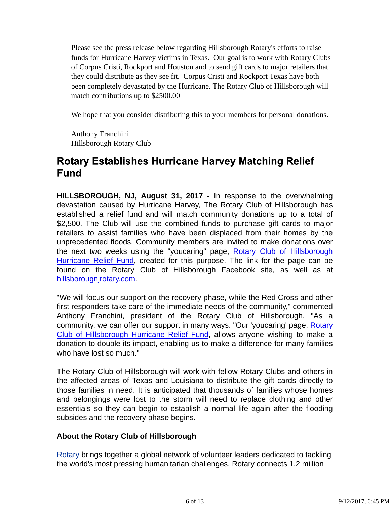Please see the press release below regarding Hillsborough Rotary's efforts to raise funds for Hurricane Harvey victims in Texas. Our goal is to work with Rotary Clubs of Corpus Cristi, Rockport and Houston and to send gift cards to major retailers that they could distribute as they see fit. Corpus Cristi and Rockport Texas have both been completely devastated by the Hurricane. The Rotary Club of Hillsborough will match contributions up to \$2500.00

We hope that you consider distributing this to your members for personal donations.

Anthony Franchini Hillsborough Rotary Club

# **Rotary Establishes Hurricane Harvey Matching Relief Fund**

**HILLSBOROUGH, NJ, August 31, 2017 -** In response to the overwhelming devastation caused by Hurricane Harvey, The Rotary Club of Hillsborough has established a relief fund and will match community donations up to a total of \$2,500. The Club will use the combined funds to purchase gift cards to major retailers to assist families who have been displaced from their homes by the unprecedented floods. Community members are invited to make donations over the next two weeks using the "youcaring" page, Rotary Club of Hillsborough Hurricane Relief Fund, created for this purpose. The link for the page can be found on the Rotary Club of Hillsborough Facebook site, as well as at hillsborougnjrotary.com.

"We will focus our support on the recovery phase, while the Red Cross and other first responders take care of the immediate needs of the community," commented Anthony Franchini, president of the Rotary Club of Hillsborough. "As a community, we can offer our support in many ways. "Our 'youcaring' page, Rotary Club of Hillsborough Hurricane Relief Fund, allows anyone wishing to make a donation to double its impact, enabling us to make a difference for many families who have lost so much."

The Rotary Club of Hillsborough will work with fellow Rotary Clubs and others in the affected areas of Texas and Louisiana to distribute the gift cards directly to those families in need. It is anticipated that thousands of families whose homes and belongings were lost to the storm will need to replace clothing and other essentials so they can begin to establish a normal life again after the flooding subsides and the recovery phase begins.

#### **About the Rotary Club of Hillsborough**

Rotary brings together a global network of volunteer leaders dedicated to tackling the world's most pressing humanitarian challenges. Rotary connects 1.2 million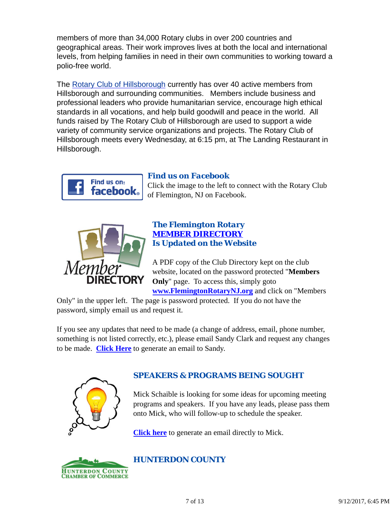members of more than 34,000 Rotary clubs in over 200 countries and geographical areas. Their work improves lives at both the local and international levels, from helping families in need in their own communities to working toward a polio-free world.

The Rotary Club of Hillsborough currently has over 40 active members from Hillsborough and surrounding communities. Members include business and professional leaders who provide humanitarian service, encourage high ethical standards in all vocations, and help build goodwill and peace in the world. All funds raised by The Rotary Club of Hillsborough are used to support a wide variety of community service organizations and projects. The Rotary Club of Hillsborough meets every Wednesday, at 6:15 pm, at The Landing Restaurant in Hillsborough.



## *Find us on Facebook*

Click the image to the left to connect with the Rotary Club of Flemington, NJ on Facebook.



#### *The Flemington Rotary MEMBER DIRECTORY Is Updated on the Website*

A PDF copy of the Club Directory kept on the club website, located on the password protected "**Members Only**" page. To access this, simply goto **www.FlemingtonRotaryNJ.org** and click on "Members

Only" in the upper left. The page is password protected. If you do not have the password, simply email us and request it.

If you see any updates that need to be made (a change of address, email, phone number, something is not listed correctly, etc.), please email Sandy Clark and request any changes to be made. **Click Here** to generate an email to Sandy.



## *SPEAKERS & PROGRAMS BEING SOUGHT*

Mick Schaible is looking for some ideas for upcoming meeting programs and speakers. If you have any leads, please pass them onto Mick, who will follow-up to schedule the speaker.

**Click here** to generate an email directly to Mick.



## *HUNTERDON COUNTY*

7 of 13 9/12/2017, 6:45 PM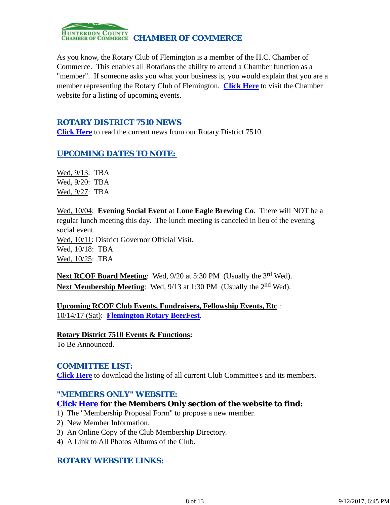

As you know, the Rotary Club of Flemington is a member of the H.C. Chamber of Commerce. This enables all Rotarians the ability to attend a Chamber function as a "member". If someone asks you what your business is, you would explain that you are a member representing the Rotary Club of Flemington. **Click Here** to visit the Chamber website for a listing of upcoming events.

#### *ROTARY DISTRICT 7510 NEWS*

**Click Here** to read the current news from our Rotary District 7510.

#### *UPCOMING DATES TO NOTE:*

Wed, 9/13: TBA Wed, 9/20: TBA Wed, 9/27: TBA

Wed, 10/04: **Evening Social Event** at **Lone Eagle Brewing Co**. There will NOT be a regular lunch meeting this day. The lunch meeting is canceled in lieu of the evening social event.

Wed, 10/11: District Governor Official Visit. Wed, 10/18: TBA Wed, 10/25: TBA

Next RCOF Board Meeting: Wed, 9/20 at 5:30 PM (Usually the 3<sup>rd</sup> Wed). **Next Membership Meeting:** Wed, 9/13 at 1:30 PM (Usually the 2<sup>nd</sup> Wed).

**Upcoming RCOF Club Events, Fundraisers, Fellowship Events, Etc**.: 10/14/17 (Sat): **Flemington Rotary BeerFest**.

**Rotary District 7510 Events & Functions:** To Be Announced.

#### *COMMITTEE LIST:*

**Click Here** to download the listing of all current Club Committee's and its members.

#### *"MEMBERS ONLY" WEBSITE:*

#### **Click Here for the Members Only section of the website to find:**

- 1) The "Membership Proposal Form" to propose a new member.
- 2) New Member Information.
- 3) An Online Copy of the Club Membership Directory.
- 4) A Link to All Photos Albums of the Club.

#### *ROTARY WEBSITE LINKS:*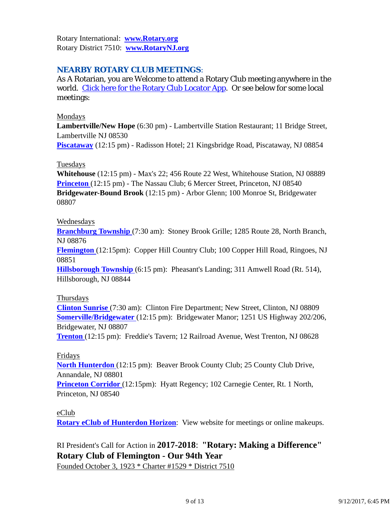Rotary International: **www.Rotary.org** Rotary District 7510: **www.RotaryNJ.org**

## *NEARBY ROTARY CLUB MEETINGS:*

As A Rotarian, you are Welcome to attend a Rotary Club meeting anywhere in the world. Click here for the Rotary Club Locator App. Or see below for some local meetings:

#### Mondays

**Lambertville/New Hope** (6:30 pm) - Lambertville Station Restaurant; 11 Bridge Street, Lambertville NJ 08530

**Piscataway** (12:15 pm) - Radisson Hotel; 21 Kingsbridge Road, Piscataway, NJ 08854

#### **Tuesdays**

**Whitehouse** (12:15 pm) - Max's 22; 456 Route 22 West, Whitehouse Station, NJ 08889 **Princeton** (12:15 pm) - The Nassau Club; 6 Mercer Street, Princeton, NJ 08540 **Bridgewater-Bound Brook** (12:15 pm) - Arbor Glenn; 100 Monroe St, Bridgewater 08807

#### Wednesdays

**Branchburg Township** (7:30 am): Stoney Brook Grille; 1285 Route 28, North Branch, NJ 08876

**Flemington** (12:15pm): Copper Hill Country Club; 100 Copper Hill Road, Ringoes, NJ 08851

**Hillsborough Township** (6:15 pm): Pheasant's Landing; 311 Amwell Road (Rt. 514), Hillsborough, NJ 08844

#### Thursdays

**Clinton Sunrise** (7:30 am): Clinton Fire Department; New Street, Clinton, NJ 08809 **Somerville/Bridgewater** (12:15 pm): Bridgewater Manor; 1251 US Highway 202/206, Bridgewater, NJ 08807

**Trenton** (12:15 pm): Freddie's Tavern; 12 Railroad Avenue, West Trenton, NJ 08628

#### Fridays

**North Hunterdon** (12:15 pm): Beaver Brook County Club; 25 County Club Drive, Annandale, NJ 08801

**Princeton Corridor** (12:15pm): Hyatt Regency; 102 Carnegie Center, Rt. 1 North, Princeton, NJ 08540

#### eClub

**Rotary eClub of Hunterdon Horizon**: View website for meetings or online makeups.

## RI President's Call for Action in **2017-2018**: **"Rotary: Making a Difference" Rotary Club of Flemington - Our 94th Year**

Founded October 3, 1923 \* Charter #1529 \* District 7510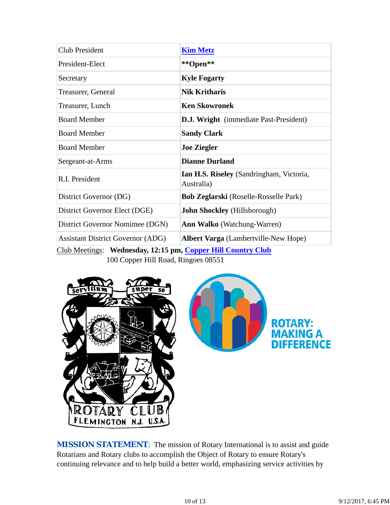| <b>Club President</b>                    | <b>Kim Metz</b>                                        |
|------------------------------------------|--------------------------------------------------------|
| President-Elect                          | **Open**                                               |
| Secretary                                | <b>Kyle Fogarty</b>                                    |
| Treasurer, General                       | <b>Nik Kritharis</b>                                   |
| Treasurer, Lunch                         | <b>Ken Skowronek</b>                                   |
| <b>Board Member</b>                      | <b>D.J. Wright</b> (immediate Past-President)          |
| <b>Board Member</b>                      | <b>Sandy Clark</b>                                     |
| <b>Board Member</b>                      | <b>Joe Ziegler</b>                                     |
| Sergeant-at-Arms                         | <b>Dianne Durland</b>                                  |
| R.I. President                           | Ian H.S. Riseley (Sandringham, Victoria,<br>Australia) |
| District Governor (DG)                   | <b>Bob Zeglarski</b> (Roselle-Rosselle Park)           |
| District Governor Elect (DGE)            | <b>John Shockley</b> (Hillsborough)                    |
| District Governor Nomimee (DGN)          | <b>Ann Walko</b> (Watchung-Warren)                     |
| <b>Assistant District Governor (ADG)</b> | <b>Albert Varga</b> (Lambertville-New Hope)            |

Club Meetings: **Wednesday, 12:15 pm, Copper Hill Country Club** 100 Copper Hill Road, Ringoes 08551



**MISSION STATEMENT:** The mission of Rotary International is to assist and guide Rotarians and Rotary clubs to accomplish the Object of Rotary to ensure Rotary's continuing relevance and to help build a better world, emphasizing service activities by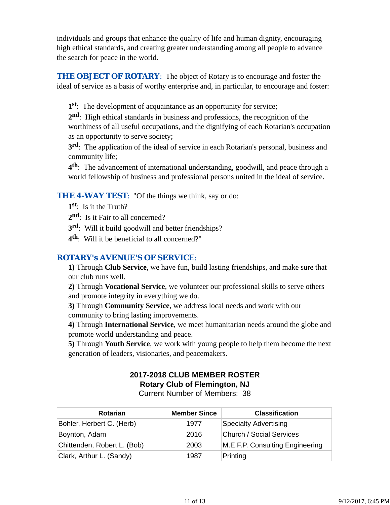individuals and groups that enhance the quality of life and human dignity, encouraging high ethical standards, and creating greater understanding among all people to advance the search for peace in the world.

**THE OBJECT OF ROTARY:** The object of Rotary is to encourage and foster the ideal of service as a basis of worthy enterprise and, in particular, to encourage and foster:

**1st**: The development of acquaintance as an opportunity for service;

**2nd**: High ethical standards in business and professions, the recognition of the worthiness of all useful occupations, and the dignifying of each Rotarian's occupation as an opportunity to serve society;

**3rd**: The application of the ideal of service in each Rotarian's personal, business and community life;

**4th**: The advancement of international understanding, goodwill, and peace through a world fellowship of business and professional persons united in the ideal of service.

#### **THE 4-WAY TEST:** "Of the things we think, say or do:

- **1st**: Is it the Truth?
- 2<sup>nd</sup>: Is it Fair to all concerned?
- **3rd**: Will it build goodwill and better friendships?
- **4th**: Will it be beneficial to all concerned?"

#### *ROTARY's AVENUE'S OF SERVICE*:

**1)** Through **Club Service**, we have fun, build lasting friendships, and make sure that our club runs well.

**2)** Through **Vocational Service**, we volunteer our professional skills to serve others and promote integrity in everything we do.

**3)** Through **Community Service**, we address local needs and work with our community to bring lasting improvements.

**4)** Through **International Service**, we meet humanitarian needs around the globe and promote world understanding and peace.

**5)** Through **Youth Service**, we work with young people to help them become the next generation of leaders, visionaries, and peacemakers.

## **2017-2018 CLUB MEMBER ROSTER Rotary Club of Flemington, NJ**

Current Number of Members: 38

| <b>Rotarian</b>             | <b>Member Since</b> | <b>Classification</b>           |
|-----------------------------|---------------------|---------------------------------|
| Bohler, Herbert C. (Herb)   | 1977                | <b>Specialty Advertising</b>    |
| Boynton, Adam               | 2016                | <b>Church / Social Services</b> |
| Chittenden, Robert L. (Bob) | 2003                | M.E.F.P. Consulting Engineering |
| Clark, Arthur L. (Sandy)    | 1987                | Printing                        |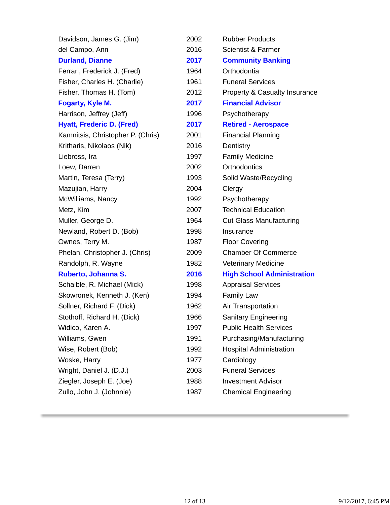| Davidson, James G. (Jim)          | 2002 | <b>Rubber Products</b>            |
|-----------------------------------|------|-----------------------------------|
| del Campo, Ann                    | 2016 | <b>Scientist &amp; Farmer</b>     |
| <b>Durland, Dianne</b>            | 2017 | <b>Community Banking</b>          |
| Ferrari, Frederick J. (Fred)      | 1964 | Orthodontia                       |
| Fisher, Charles H. (Charlie)      | 1961 | <b>Funeral Services</b>           |
| Fisher, Thomas H. (Tom)           | 2012 | Property & Casualty Insurance     |
| Fogarty, Kyle M.                  | 2017 | <b>Financial Advisor</b>          |
| Harrison, Jeffrey (Jeff)          | 1996 | Psychotherapy                     |
| <b>Hyatt, Frederic D. (Fred)</b>  | 2017 | <b>Retired - Aerospace</b>        |
| Kamnitsis, Christopher P. (Chris) | 2001 | <b>Financial Planning</b>         |
| Kritharis, Nikolaos (Nik)         | 2016 | Dentistry                         |
| Liebross, Ira                     | 1997 | <b>Family Medicine</b>            |
| Loew, Darren                      | 2002 | <b>Orthodontics</b>               |
| Martin, Teresa (Terry)            | 1993 | Solid Waste/Recycling             |
| Mazujian, Harry                   | 2004 | Clergy                            |
| McWilliams, Nancy                 | 1992 | Psychotherapy                     |
| Metz, Kim                         | 2007 | <b>Technical Education</b>        |
| Muller, George D.                 | 1964 | <b>Cut Glass Manufacturing</b>    |
| Newland, Robert D. (Bob)          | 1998 | Insurance                         |
| Ownes, Terry M.                   | 1987 | <b>Floor Covering</b>             |
| Phelan, Christopher J. (Chris)    | 2009 | <b>Chamber Of Commerce</b>        |
| Randolph, R. Wayne                | 1982 | <b>Veterinary Medicine</b>        |
| Ruberto, Johanna S.               | 2016 | <b>High School Administration</b> |
| Schaible, R. Michael (Mick)       | 1998 | <b>Appraisal Services</b>         |
| Skowronek, Kenneth J. (Ken)       | 1994 | <b>Family Law</b>                 |
| Sollner, Richard F. (Dick)        | 1962 | Air Transportation                |
| Stothoff, Richard H. (Dick)       | 1966 | <b>Sanitary Engineering</b>       |
| Widico, Karen A.                  | 1997 | <b>Public Health Services</b>     |
| Williams, Gwen                    | 1991 | Purchasing/Manufacturing          |
| Wise, Robert (Bob)                | 1992 | <b>Hospital Administration</b>    |
| Woske, Harry                      | 1977 | Cardiology                        |
| Wright, Daniel J. (D.J.)          | 2003 | <b>Funeral Services</b>           |
| Ziegler, Joseph E. (Joe)          | 1988 | <b>Investment Advisor</b>         |
| Zullo, John J. (Johnnie)          | 1987 | <b>Chemical Engineering</b>       |